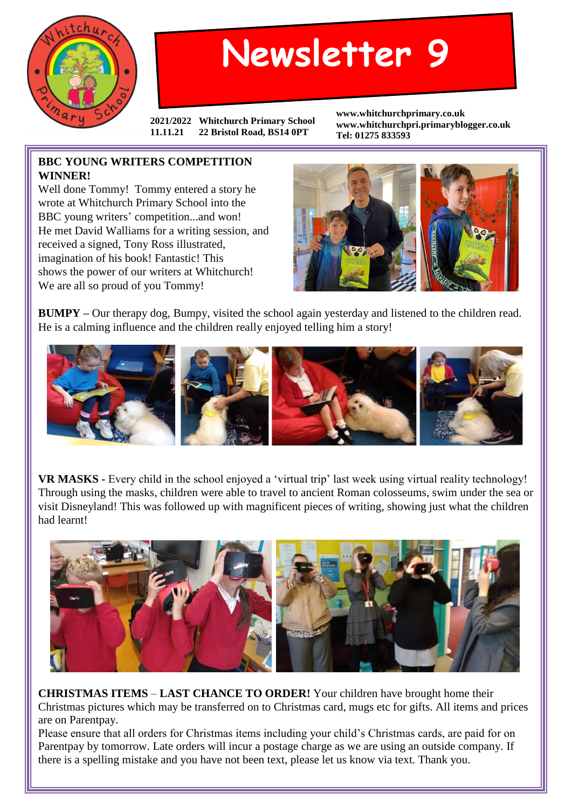

## **Newsletter 9**

**2021/2022 Whitchurch Primary School 11.11.21 22 Bristol Road, BS14 0PT**

**www.whitchurchprimary.co.uk www.whitchurchpri.primaryblogger.co.uk Tel: 01275 833593**

## **BBC YOUNG WRITERS COMPETITION WINNER!**

Well done Tommy! Tommy entered a story he wrote at Whitchurch Primary School into the BBC young writers' competition...and won! He met David Walliams for a writing session, and received a signed, Tony Ross illustrated, imagination of his book! Fantastic! This shows the power of our writers at Whitchurch! We are all so proud of you Tommy!



**BUMPY –** Our therapy dog, Bumpy, visited the school again yesterday and listened to the children read. He is a calming influence and the children really enjoyed telling him a story!



**VR MASKS -** Every child in the school enjoyed a 'virtual trip' last week using virtual reality technology! Through using the masks, children were able to travel to ancient Roman colosseums, swim under the sea or visit Disneyland! This was followed up with magnificent pieces of writing, showing just what the children had learnt!



**CHRISTMAS ITEMS** – **LAST CHANCE TO ORDER!** Your children have brought home their Christmas pictures which may be transferred on to Christmas card, mugs etc for gifts. All items and prices are on Parentpay.

Please ensure that all orders for Christmas items including your child's Christmas cards, are paid for on Parentpay by tomorrow. Late orders will incur a postage charge as we are using an outside company. If there is a spelling mistake and you have not been text, please let us know via text. Thank you.